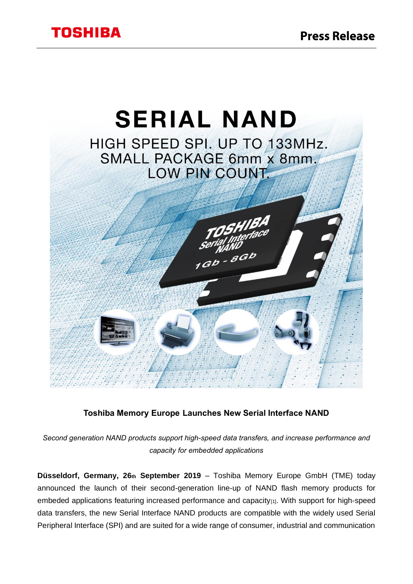

# **Toshiba Memory Europe Launches New Serial Interface NAND**

*Second generation NAND products support high-speed data transfers, and increase performance and capacity for embedded applications*

**Düsseldorf, Germany, 26th September 2019** – Toshiba Memory Europe GmbH (TME) today announced the launch of their second-generation line-up of NAND flash memory products for embeded applications featuring increased performance and capacity<sub>[1]</sub>. With support for high-speed data transfers, the new Serial Interface NAND products are compatible with the widely used Serial Peripheral Interface (SPI) and are suited for a wide range of consumer, industrial and communication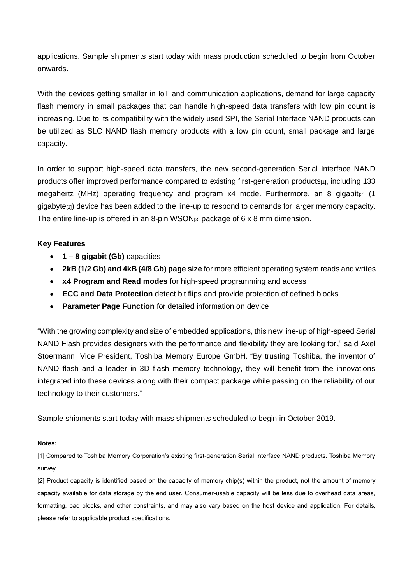applications. Sample shipments start today with mass production scheduled to begin from October onwards.

With the devices getting smaller in IoT and communication applications, demand for large capacity flash memory in small packages that can handle high-speed data transfers with low pin count is increasing. Due to its compatibility with the widely used SPI, the Serial Interface NAND products can be utilized as SLC NAND flash memory products with a low pin count, small package and large capacity.

In order to support high-speed data transfers, the new second-generation Serial Interface NAND products offer improved performance compared to existing first-generation products<sub>[1]</sub>, including 133 megahertz (MHz) operating frequency and program  $x4$  mode. Furthermore, an 8 gigabit $|z|$  (1 gigabyte[2]) device has been added to the line-up to respond to demands for larger memory capacity. The entire line-up is offered in an 8-pin WSON[3] package of 6 x 8 mm dimension.

## **Key Features**

- **1 – 8 gigabit (Gb)** capacities
- **2kB (1/2 Gb) and 4kB (4/8 Gb) page size** for more efficient operating system reads and writes
- **x4 Program and Read modes** for high-speed programming and access
- **ECC and Data Protection** detect bit flips and provide protection of defined blocks
- **Parameter Page Function** for detailed information on device

"With the growing complexity and size of embedded applications, this new line-up of high-speed Serial NAND Flash provides designers with the performance and flexibility they are looking for," said Axel Stoermann, Vice President, Toshiba Memory Europe GmbH. "By trusting Toshiba, the inventor of NAND flash and a leader in 3D flash memory technology, they will benefit from the innovations integrated into these devices along with their compact package while passing on the reliability of our technology to their customers."

Sample shipments start today with mass shipments scheduled to begin in October 2019.

### **Notes:**

[1] Compared to Toshiba Memory Corporation's existing first-generation Serial Interface NAND products. Toshiba Memory survey.

[2] Product capacity is identified based on the capacity of memory chip(s) within the product, not the amount of memory capacity available for data storage by the end user. Consumer-usable capacity will be less due to overhead data areas, formatting, bad blocks, and other constraints, and may also vary based on the host device and application. For details, please refer to applicable product specifications.